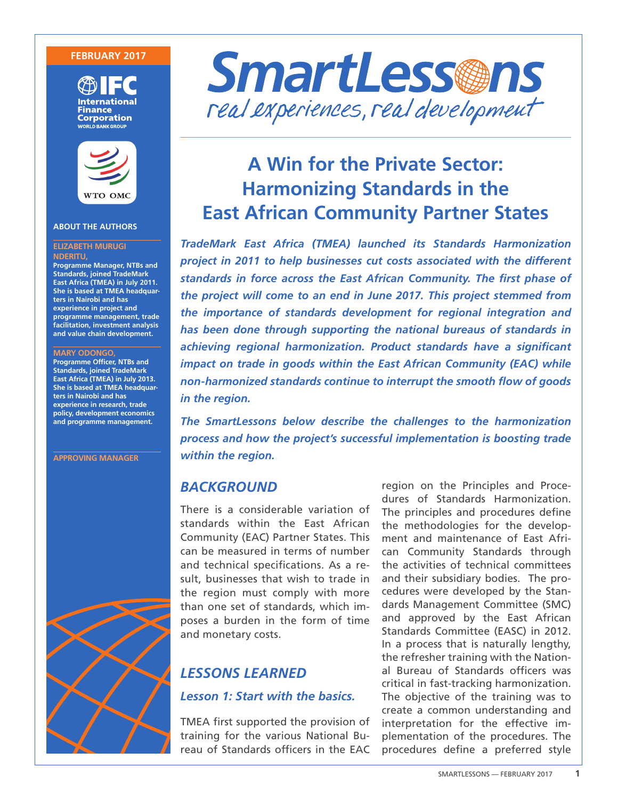### **FEBRUARY 2017**





### **ABOUT THE AUTHORS**

#### **ELIZABETH MURUGI NDERITU,**

**Programme Manager, NTBs and Standards, joined TradeMark East Africa (TMEA) in July 2011. She is based at TMEA headquarters in Nairobi and has experience in project and programme management, trade facilitation, investment analysis and value chain development.**

#### **MARY ODONGO,**

**Programme Officer, NTBs and Standards, joined TradeMark East Africa (TMEA) in July 2013. She is based at TMEA headquarters in Nairobi and has experience in research, trade policy, development economics and programme management.** 

**APPROVING MANAGER**





# **A Win for the Private Sector: Harmonizing Standards in the East African Community Partner States**

*TradeMark East Africa (TMEA) launched its Standards Harmonization project in 2011 to help businesses cut costs associated with the different standards in force across the East African Community. The first phase of the project will come to an end in June 2017. This project stemmed from the importance of standards development for regional integration and has been done through supporting the national bureaus of standards in achieving regional harmonization. Product standards have a significant impact on trade in goods within the East African Community (EAC) while non-harmonized standards continue to interrupt the smooth flow of goods in the region.*

*The SmartLessons below describe the challenges to the harmonization process and how the project's successful implementation is boosting trade within the region.* 

# *BACKGROUND*

There is a considerable variation of standards within the East African Community (EAC) Partner States. This can be measured in terms of number and technical specifications. As a result, businesses that wish to trade in the region must comply with more than one set of standards, which imposes a burden in the form of time and monetary costs.

# *LESSONS LEARNED Lesson 1: Start with the basics.*

TMEA first supported the provision of training for the various National Bureau of Standards officers in the EAC

region on the Principles and Procedures of Standards Harmonization. The principles and procedures define the methodologies for the development and maintenance of East African Community Standards through the activities of technical committees and their subsidiary bodies. The procedures were developed by the Standards Management Committee (SMC) and approved by the East African Standards Committee (EASC) in 2012. In a process that is naturally lengthy, the refresher training with the National Bureau of Standards officers was critical in fast-tracking harmonization. The objective of the training was to create a common understanding and interpretation for the effective implementation of the procedures. The procedures define a preferred style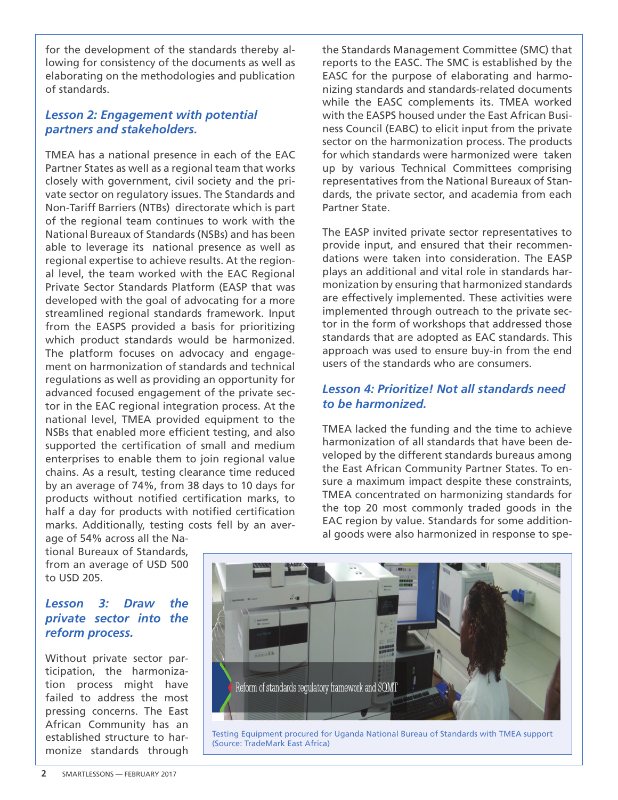for the development of the standards thereby allowing for consistency of the documents as well as elaborating on the methodologies and publication of standards.

## *Lesson 2: Engagement with potential partners and stakeholders.*

TMEA has a national presence in each of the EAC Partner States as well as a regional team that works closely with government, civil society and the private sector on regulatory issues. The Standards and Non-Tariff Barriers (NTBs) directorate which is part of the regional team continues to work with the National Bureaux of Standards (NSBs) and has been able to leverage its national presence as well as regional expertise to achieve results. At the regional level, the team worked with the EAC Regional Private Sector Standards Platform (EASP that was developed with the goal of advocating for a more streamlined regional standards framework. Input from the EASPS provided a basis for prioritizing which product standards would be harmonized. The platform focuses on advocacy and engagement on harmonization of standards and technical regulations as well as providing an opportunity for advanced focused engagement of the private sector in the EAC regional integration process. At the national level, TMEA provided equipment to the NSBs that enabled more efficient testing, and also supported the certification of small and medium enterprises to enable them to join regional value chains. As a result, testing clearance time reduced by an average of 74%, from 38 days to 10 days for products without notified certification marks, to half a day for products with notified certification marks. Additionally, testing costs fell by an aver-

age of 54% across all the National Bureaux of Standards, from an average of USD 500 to USD 205.

### *Lesson 3: Draw the private sector into the reform process.*

Without private sector participation, the harmonization process might have failed to address the most pressing concerns. The East African Community has an established structure to harmonize standards through

the Standards Management Committee (SMC) that reports to the EASC. The SMC is established by the EASC for the purpose of elaborating and harmonizing standards and standards-related documents while the EASC complements its. TMEA worked with the EASPS housed under the East African Business Council (EABC) to elicit input from the private sector on the harmonization process. The products for which standards were harmonized were taken up by various Technical Committees comprising representatives from the National Bureaux of Standards, the private sector, and academia from each Partner State.

The EASP invited private sector representatives to provide input, and ensured that their recommendations were taken into consideration. The EASP plays an additional and vital role in standards harmonization by ensuring that harmonized standards are effectively implemented. These activities were implemented through outreach to the private sector in the form of workshops that addressed those standards that are adopted as EAC standards. This approach was used to ensure buy-in from the end users of the standards who are consumers.

### *Lesson 4: Prioritize! Not all standards need to be harmonized.*

TMEA lacked the funding and the time to achieve harmonization of all standards that have been developed by the different standards bureaus among the East African Community Partner States. To ensure a maximum impact despite these constraints, TMEA concentrated on harmonizing standards for the top 20 most commonly traded goods in the EAC region by value. Standards for some additional goods were also harmonized in response to spe-



Testing Equipment procured for Uganda National Bureau of Standards with TMEA support (Source: TradeMark East Africa)